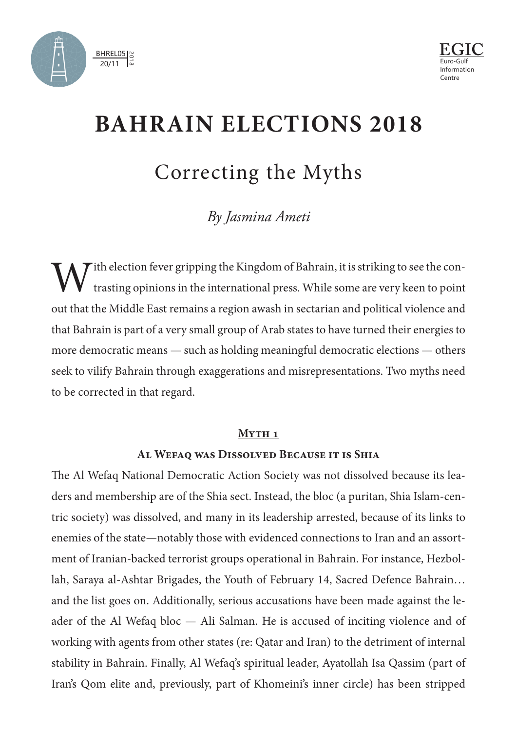



# **BAHRAIN ELECTIONS 2018**

## Correcting the Myths

### *By Jasmina Ameti*

 $\rm W$  ith election fever gripping the Kingdom of Bahrain, it is striking to see the contrasting opinions in the international press. While some are very keen to point trasting opinions in the international press. While some are very keen to point out that the Middle East remains a region awash in sectarian and political violence and that Bahrain is part of a very small group of Arab states to have turned their energies to more democratic means — such as holding meaningful democratic elections — others seek to vilify Bahrain through exaggerations and misrepresentations. Two myths need to be corrected in that regard.

#### **Myth 1**

#### **Al Wefaq was Dissolved Because it is Shia**

The Al Wefaq National Democratic Action Society was not dissolved because its leaders and membership are of the Shia sect. Instead, the bloc (a puritan, Shia Islam-centric society) was dissolved, and many in its leadership arrested, because of its links to enemies of the state—notably those with evidenced connections to Iran and an assortment of Iranian-backed terrorist groups operational in Bahrain. For instance, Hezbollah, Saraya al-Ashtar Brigades, the Youth of February 14, Sacred Defence Bahrain… and the list goes on. Additionally, serious accusations have been made against the leader of the Al Wefaq bloc — Ali Salman. He is accused of inciting violence and of working with agents from other states (re: Qatar and Iran) to the detriment of internal stability in Bahrain. Finally, Al Wefaq's spiritual leader, Ayatollah Isa Qassim (part of Iran's Qom elite and, previously, part of Khomeini's inner circle) has been stripped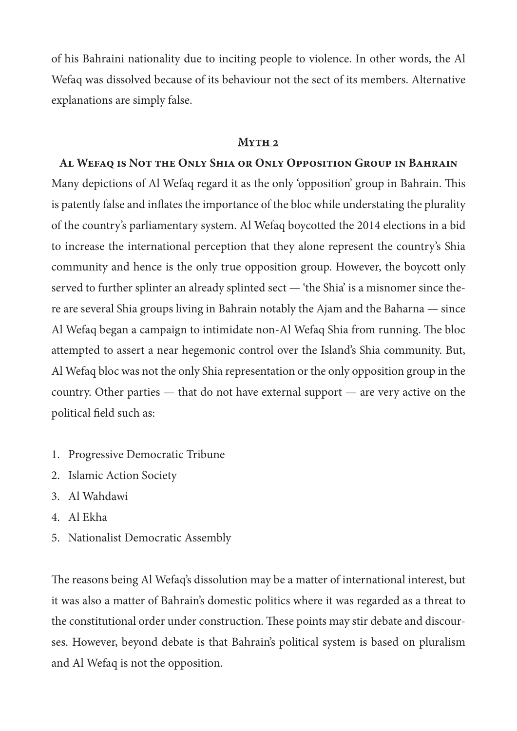of his Bahraini nationality due to inciting people to violence. In other words, the Al Wefaq was dissolved because of its behaviour not the sect of its members. Alternative explanations are simply false.

#### **Myth 2**

#### **Al Wefaq is Not the Only Shia or Only Opposition Group in Bahrain**

Many depictions of Al Wefaq regard it as the only 'opposition' group in Bahrain. This is patently false and inflates the importance of the bloc while understating the plurality of the country's parliamentary system. Al Wefaq boycotted the 2014 elections in a bid to increase the international perception that they alone represent the country's Shia community and hence is the only true opposition group. However, the boycott only served to further splinter an already splinted sect — 'the Shia' is a misnomer since there are several Shia groups living in Bahrain notably the Ajam and the Baharna — since Al Wefaq began a campaign to intimidate non-Al Wefaq Shia from running. The bloc attempted to assert a near hegemonic control over the Island's Shia community. But, Al Wefaq bloc was not the only Shia representation or the only opposition group in the country. Other parties — that do not have external support — are very active on the political field such as:

- 1. Progressive Democratic Tribune
- 2. Islamic Action Society
- 3. Al Wahdawi
- 4. Al Ekha
- 5. Nationalist Democratic Assembly

The reasons being Al Wefaq's dissolution may be a matter of international interest, but it was also a matter of Bahrain's domestic politics where it was regarded as a threat to the constitutional order under construction. These points may stir debate and discourses. However, beyond debate is that Bahrain's political system is based on pluralism and Al Wefaq is not the opposition.